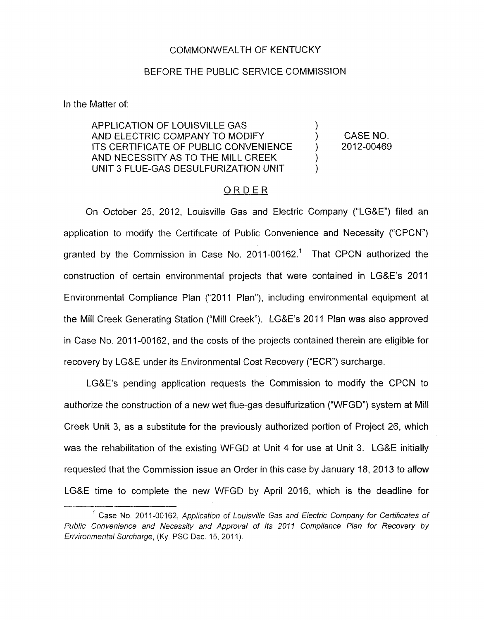### COMMONWEALTH OF KENTUCKY

#### BEFORE THE PUBLIC SERVICE COMMISSION

In the Matter of:

# APPLICATION OF LOUISVILLE GAS ) AND ELECTRIC COMPANY TO MODIFY ) CASE NO. ITS CERTIFICATE OF PUBLIC CONVENIENCE (2012-00469 AND NECESSITY AS TO THE MILL CREEK UNIT 3 FLUE-GAS DESULFURIZATION UNIT

) )

### ORDER

On October 25, 2012, Louisville Gas and Electric Company ("LG&E") filed an application to modify the Certificate of Public Convenience and Necessity ("CPCN") granted by the Commission in Case No.  $2011-00162$ <sup>1</sup> That CPCN authorized the construction of certain environmental projects that were contained in LG&E's 2011 Environmental Compliance Plan ("2011 Plan"), including environmental equipment at the Mill Creek Generating Station ("Mill Creek"). LG&E's 2011 Plan was also approved in Case No. 2011-00162, and the costs of the projects contained therein are eligible for recovery by LG&E under its Environmental Cost Recovery ("ECR") surcharge.

LG&E's pending application requests the Commission to modify the CPCN to authorize the construction of a new wet flue-gas desulfurization ("WFGD") system at Mill Creek Unit 3, as a substitute for the previously authorized portion of Project 26, which was the rehabilitation of the existing WFGD at Unit 4 for use at Unit 3. LG&E initially requested that the Commission issue an Order in this case by January 18, 2013 to allow LG&E time to complete the new WFGD by April 2016, which is the deadline for

<sup>&</sup>lt;sup>1</sup> Case No. 2011-00162, Application of Louisville Gas and Electric Company for Certificates of *Public Convenience and Necessity and Approval of Its 2011 Compliance Plan for Recovery by Environmental Surcharge, (Ky. PSC Dec. 15, 2011).*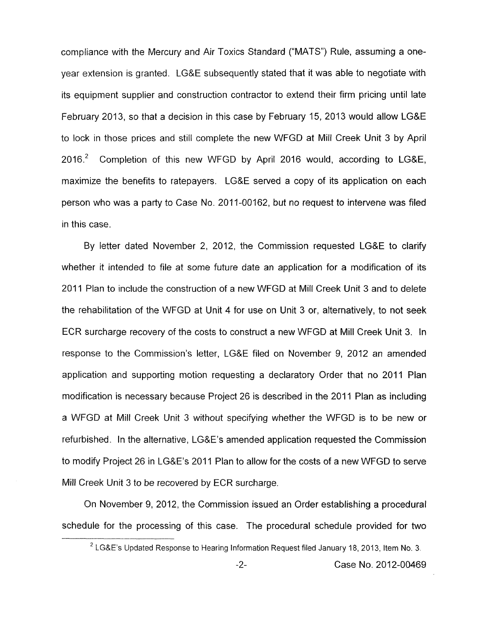compliance with the Mercury and Air Toxics Standard ("MATS") Rule, assuming a oneyear extension is granted. LG&E subsequently stated that it was able to negotiate with its equipment supplier and construction contractor to extend their firm pricing until late February 2013, so that a decision in this case by February 15, 2013 would allow LG&E to lock in those prices and still complete the new WFGD at Mill Creek Unit 3 by April 2016.<sup>2</sup> Completion of this new WFGD by April 2016 would, according to LG&E, maximize the benefits to ratepayers. LG&E served a copy of its application on each person who was a party to Case No. 2011-00162, but no request to intervene was filed in this case.

By letter dated November 2, 2012, the Commission requested LG&E to clarify whether it intended to file at some future date an application for a modification of its 201 1 Plan to include the construction of a new WFGD at Mill Creek Unit 3 and to delete the rehabilitation of the WFGD at Unit **4** for use on Unit 3 or, alternatively, to not seek ECR surcharge recovery of the costs to construct a new WFGD at Mill Creek Unit 3. In response to the Commission's letter, LG&E filed on November 9, 2012 an amended application and supporting motion requesting a declaratory Order that no 2011 Plan modification is necessary because Project 26 is described in the 2011 Plan as including a WFGD at Mill Creek Unit 3 without specifying whether the WFGD is to be new or refurbished **I** In the alternative, LG&E's amended application requested the Commission to modify Project 26 in LG&E's 2011 Plan to allow for the costs of a new WFGD to serve Mill Creek Unit 3 to be recovered by ECR surcharge.

On November 9, 2012, the Commission issued an Order establishing a procedural schedule for the processing of this case. The procedural schedule provided for two

<sup>&</sup>lt;sup>2</sup> LG&E's Updated Response to Hearing Information Request filed January 18, 2013, Item No. 3.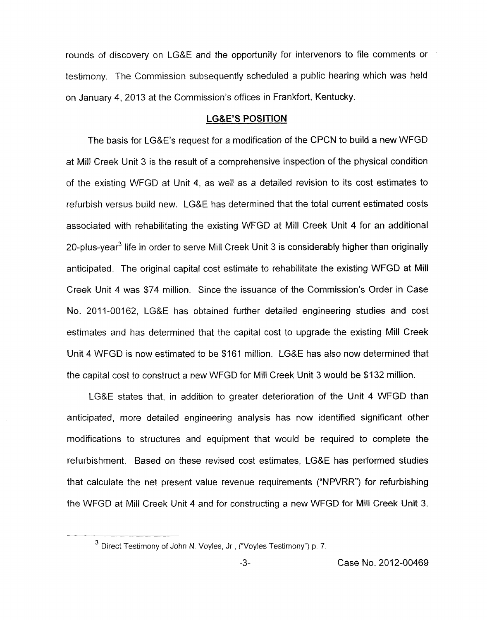rounds of discovery on LG&E and the opportunity for intervenors to file comments or testimony. The Commission subsequently scheduled a public hearing which was held on January 4, 2013 at the Commission's offices in Frankfort, Kentucky.

## **LG&E'S POSITION**

The basis for LG&E's request for a modification of the CPCN to build a new WFGD at Mill Creek Unit 3 is the result of a comprehensive inspection of the physical condition of the existing WFGD at Unit **4,** as well as a detailed revision to its cost estimates to refurbish versus build new. LG&E has determined that the total current estimated costs associated with rehabilitating the existing WFGD at Mill Creek Unit 4 for an additional 20-plus-year<sup>3</sup> life in order to serve Mill Creek Unit 3 is considerably higher than originally anticipated. The original capital cost estimate to rehabilitate the existing WFGD at Mill Creek Unit 4 was \$74 million. Since the issuance of the Commission's Order in Case No. 2011-00162, LG&E has obtained further detailed engineering studies and cost estimates and has determined that the capital cost to upgrade the existing Mill Creek Unit **4** WFGD is now estimated to be \$161 million. LG&E has also now determined that the capital cost to construct a new WFGD for Mill Creek Unit 3 would be \$132 million.

LG&E states that, in addition to greater deterioration of the Unit 4 WFGD than anticipated, more detailed engineering analysis has now identified significant other modifications to structures and equipment that would be required to complete the refurbishment. Based on these revised cost estimates, LG&E has performed studies that calculate the net present value revenue requirements ("NPVRR'') for refurbishing the WFGD at Mill Creek Unit 4 and for constructing a new WFGD for Mill Creek Unit 3.

<sup>&</sup>lt;sup>3</sup> Direct Testimony of John N. Voyles, Jr., ("Voyles Testimony") **p. 7.**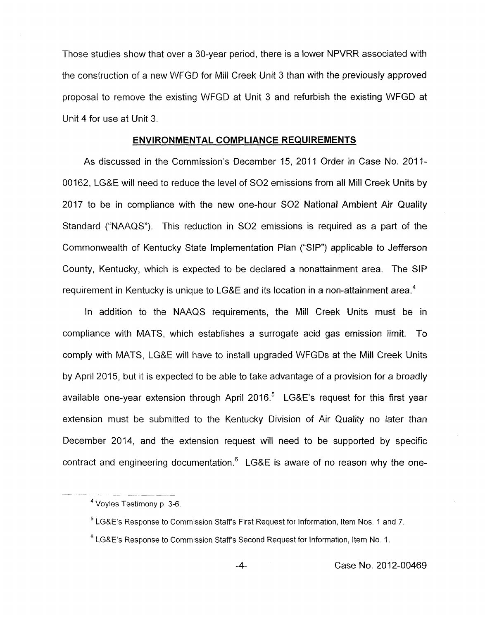Those studies show that over a 30-year period, there is a lower NPVRR associated with the construction of a new WFGD for Mill Creek Unit 3 than with the previously approved proposal to remove the existing WFGD at Unit 3 and refurbish the existing WFGD at Unit 4 for use at Unit 3.

### **ENVIRONMENTAL COMPLIANCE REQUIREMENTS**

As discussed in the Commission's December 15, 2011 Order in Case No. 2011- 00162, LG&E will need to reduce the level of *SO2* emissions from all Mill Creek Units by 2017 to be in compliance with the new one-hour *SO2* National Ambient Air Quality Standard ("NAAQS"). This reduction in *SO2* emissions is required as a part of the Commonwealth of Kentucky State Implementation Plan ("SIP") applicable to Jefferson County, Kentucky, which is expected to be declared a nonattainment area. The SIP requirement in Kentucky is unique to LG&E and its location in a non-attainment area.<sup>4</sup>

In addition to the NAAQS requirements, the Mill Creek Units must be in compliance with MATS, which establishes a surrogate acid gas emission limit. To comply with MATS, LG&E will have to install upgraded WFGDs at the Mill Creek Units by April 2015, but it is expected to be able to take advantage of a provision for a broadly available one-year extension through April 2016.<sup>5</sup> LG&E's request for this first year extension must be submitted to the Kentucky Division of Air Quality no later than December 2014, and the extension request will need to be supported by specific contract and engineering documentation. $6$  LG&E is aware of no reason why the one-

-4- Case No. 2012-00469

Voyles Testimony **p 3-6. 4** 

<sup>&</sup>lt;sup>5</sup> LG&E's Response to Commission Staff's First Request for Information, Item Nos. 1 and 7.

<sup>&</sup>lt;sup>6</sup> LG&E's Response to Commission Staff's Second Request for Information, Item No. 1.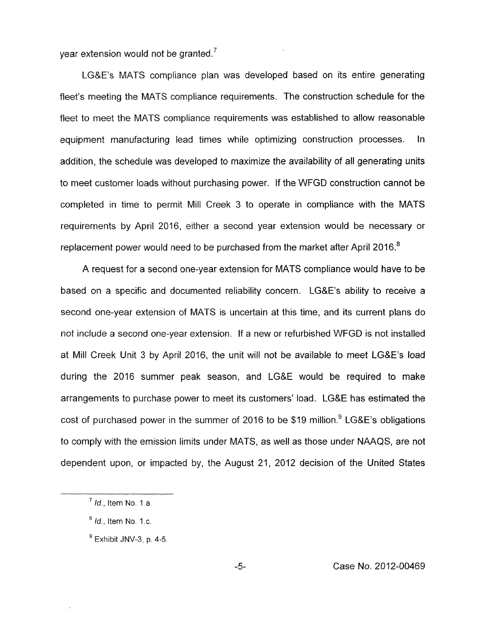vear extension would not be granted.<sup>7</sup>

I.G&E's MATS compliance plan was developed based on its entire generating fleet's meeting the MATS compliance requirements. The construction schedule for the fleet to meet the MATS compliance requirements was established to allow reasonable equipment manufacturing lead times while optimizing construction processes. In addition, the schedule was developed to maximize the availability of all generating units to meet customer loads without purchasing power. If the WFGD construction cannot be completed in time to permit Mill Creek 3 to operate in compliance with the MATS requirements by April 2016, either a second year extension would be necessary or replacement power would need to be purchased from the market after April 2016.<sup>8</sup>

A request for a second one-year extension for MATS compliance would have to be based on a specific and documented reliability concern. LG&E's ability to receive a second one-year extension of MATS is uncertain at this time, and its current plans do not include a second one-year extension. If a new or refurbished WFGD is not installed at Mill Creek Unit 3 by April 2016, the unit will not be available to meet LG&E's load during the 2016 summer peak season, and LG&E would be required to make arrangements to purchase power to meet its customers' load. LG&E has estimated the cost of purchased power in the summer of 2016 to be \$19 million.  $9$  LG&E's obligations to comply with the emission limits under MATS, as well as those under NAAQS, are not dependent upon, or impacted by, the August 21, 2012 decision of the United States

*Id.,* Item No. 1 a. **7** 

*Id.,* Item No. 1 .c. **8** 

Exhibit JNV-3, **p.** 4-5. **9**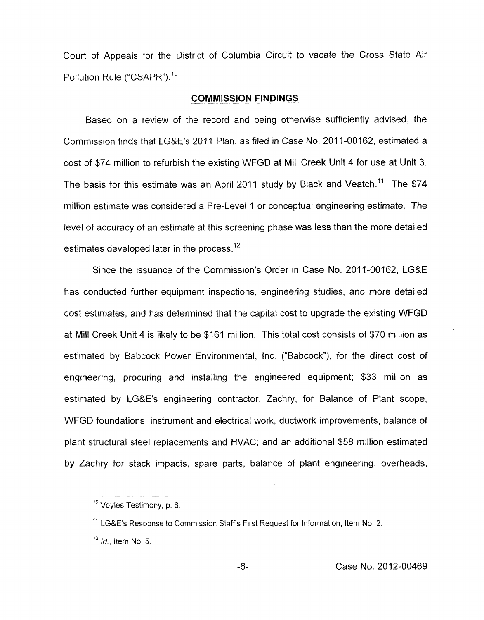Court of Appeals for the District of Columbia Circuit to vacate the Cross State Air Pollution Rule ("CSAPR").<sup>10</sup>

#### **COMMISSION FINDINGS**

Based on a review of the record and being otherwise sufficiently advised, the Commission finds that LG&E's 2011 Plan, as filed in Case No. 2011-00162, estimated a cost of \$74 million to refurbish the existing WFGD at Mill Creek Unit 4 for use at Unit 3. The basis for this estimate was an April 2011 study by Black and Veatch.<sup>11</sup> The \$74 million estimate was considered a Pre-Level 1 or conceptual engineering estimate. The level of accuracy of an estimate at this screening phase was less than the more detailed estimates developed later in the process.<sup>12</sup>

Since the issuance of the Commission's Order in Case No. 2011-00162, LG&E has conducted further equipment inspections, engineering studies, and more detailed cost estimates, and has determined that the capital cost to upgrade the existing WFGD at Mill Creek Unit 4 is likely to be \$161 million. This total cost consists of \$70 million as estimated by Babcock Power Environmental, Inc. ("Babcock"), for the direct cost of engineering, procuring and installing the engineered equipment; \$33 million as estimated by LG&E's engineering contractor, Zachry, for Balance of Plant scope, WFGD foundations, instrument and electrical work, ductwork improvements, balance of plant structural steel replacements and WAC; and an additional \$58 million estimated by Zachry for stack impacts, spare parts, balance of plant engineering, overheads,

<sup>&</sup>lt;sup>10</sup> Voyles Testimony, p. 6.

 $^{11}$  LG&E's Response to Commission Staff's First Request for Information, Item No. 2.

*Id,* Item No. 5. **12**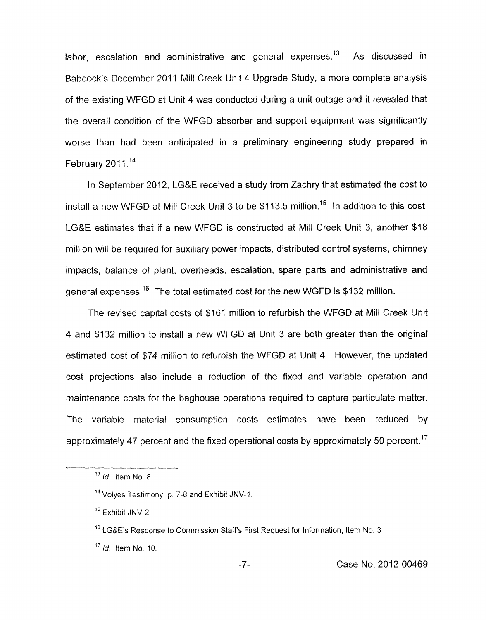labor, escalation and administrative and general expenses.<sup>13</sup> As discussed in Babcock's December 2011 Mill Creek Unit 4 Upgrade Study, a more complete analysis of the existing WFGD at Unit **4** was conducted during a unit outage and it revealed that the overall condition of the WFGD absorber and support equipment was significantly worse than had been anticipated in a preliminary engineering study prepared in February  $2011$ .<sup>14</sup>

In September 2012, LG&E received a study from Zachry that estimated the cost to install a new WFGD at Mill Creek Unit 3 to be \$113.5 million.<sup>15</sup> In addition to this cost, LG&E estimates that if a new WFGD is constructed at Mill Creek Unit 3, another \$18 million will be required for auxiliary power impacts, distributed control systems, chimney impacts, balance of plant, overheads, escalation, spare parts and administrative and general expenses.<sup>16</sup> The total estimated cost for the new WGFD is \$132 million.

The revised capital costs of \$161 million to refurbish the WFGD at Mill Creek Unit **4** and \$132 million to install a new WFGD at Unit 3 are both greater than the original estimated cost of \$74 million to refurbish the WFGD at Unit **4.** However, the updated cost projections also include a reduction of the fixed and variable operation and maintenance costs for the baghouse operations required to capture particulate matter. The variable material consumption costs estimates have been reduced by approximately 47 percent and the fixed operational costs by approximately 50 percent.<sup>17</sup>

*Id,* Item No. 8. **13** 

<sup>&</sup>lt;sup>14</sup> Volyes Testimony, p. 7-8 and Exhibit JNV-1.

**l5** Exhibit JNV-2.

 $16$  LG&E's Response to Commission Staff's First Request for Information, Item No. 3.

l7 */d,* Item NO. *IO.*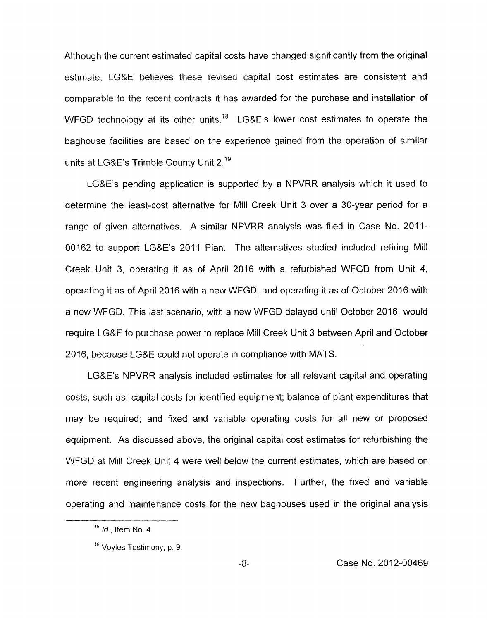Although the current estimated capital costs have changed significantly from the original estimate, LGRE believes these revised capital cost estimates are consistent and comparable to the recent contracts it has awarded for the purchase and installation of WFGD technology at its other units.<sup>18</sup> LG&E's lower cost estimates to operate the baghouse facilities are based on the experience gained from the operation of similar units at LG&E's Trimble County Unit 2.<sup>19</sup>

LG&E's pending application is supported by a NPVRR analysis which it used to determine the least-cost alternative for Mill Creek Unit 3 over a 30-year period for a range of given alternatives. A similar NPVRR analysis was filed in Case No. 2011- 00162 to support LG&E's 2011 Plan. The alternatives studied included retiring Mill Creek Unit 3, operating it as of April 2016 with a refurbished WFGD from Unit **4,**  operating it. as of April 2016 with a new WFGD, and operating it as of October 2016 with a new WFGD. This last scenario, with a new WFGD delayed until October 2016, would require LG&E to purchase power to replace Mill Creek Unit 3 between April and October 2016, because LG&E could not operate in compliance with MATS.

LG&E's NPVRR analysis included estimates for all relevant capital and operating costs, such as: capital costs for identified equipment; balance of plant expenditures that may be required; and fixed and variable operating costs for all new or proposed equipment. As discussed above, the original capital cost estimates for refurbishing the WFGD at Mill Creek Unit 4 were well below the current estimates, which are based on more recent engineering analysis and inspections. Further, the fixed and variable operating and maintenance costs for the new baghouses used in the original analysis

<sup>&</sup>lt;sup>18</sup> *Id.*, Item No. 4.

Voyles Testimony, **p.** 9. *<sup>19</sup>*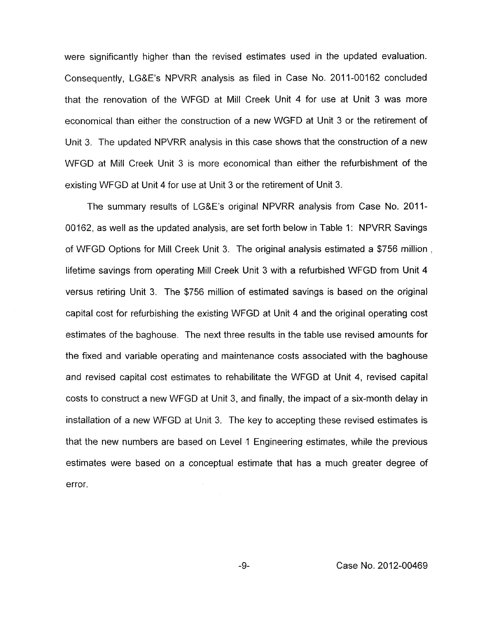were significantly higher than the revised estimates used in the updated evaluation. Consequently, LG&E's NPVRR analysis as filed in Case No. 2011-00162 concluded that the renovation of the WFGD at Mill Creek Unit 4 for use at Unit 3 was more economical than either the construction of a new WGFD at Unit 3 or the retirement of Unit 3. The updated NPVRR analysis in this case shows that the construction of a new WFGD at Mill Creek Unit 3 is more economical than either the refurbishment of the existing WFGD at Unit 4 for use at Unit 3 or the retirement of Unit 3.

The summary results of LG&E's original NPVRR analysis from Case No. 2011-00162, as well as the updated analysis, are set forth below in Table 1: NPVRR Savings of WFGD Options for Mill Creek Unit 3. The original analysis estimated a \$756 million , lifetime savings from operating Mill Creek Unit 3 with a refurbished WFGD from Unit 4 versus retiring Unit 3. The \$756 million of estimated savings is based on the original capital cost for refurbishing the existing WFGD at Unit 4 and the original operating cost estimates of the baghouse. The next three results in the table use revised amounts for the fixed and variable operating and maintenance costs associated with the baghouse and revised capital cost estimates to rehabilitate the WFGD at Unit 4, revised capital costs to construct a new WFGD at Unit 3, and finally, the impact of a six-month delay in installation *of* a new WFGD at Unit 3. The key to accepting these revised estimates is that the new numbers are based on Level 1 Engineering estimates, while the previous estimates were based on a conceptual estimate that has a much greater degree of error.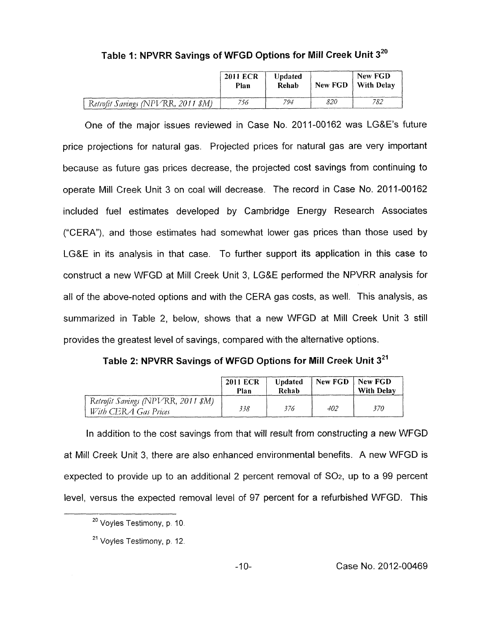|                                    | <b>2011 ECR</b><br>Plan | Updated<br>Rehab |     | New FGD<br>New FGD   With Delay |
|------------------------------------|-------------------------|------------------|-----|---------------------------------|
| Retrofit Savings (NPVRR, 2011 \$M) | 756                     | 794              | 820 | 782                             |

**Table 1** : **NPVRR Savings of WFGD Options for Mill Creek Unit <sup>320</sup>**

One of the major issues reviewed in Case No. 2011-00162 was LG&E's future price projections for natural gas. Projected prices for natural gas are very important because as future gas prices decrease, the projected cost savings from continuing to operate Mill Creek Unit 3 on coal will decrease. The record in Case **No.** 2011-00162 included fuel estimates developed by Cambridge Energy Research Associates ("CERA"), and those estimates had somewhat lower gas prices than those used by LG&E in its analysis in that case. To further support its application in this case to construct a new WFGD at Mill Creek Unit 3, LG&E performed the NPVRR analysis for all of the above-noted options and with the CERA gas costs, as well. This analysis, as summarized in Table 2, below, shows that a new WFGD at Mill Creek Unit 3 still provides the greatest level of savings, compared with the alternative options.

**Table 2: NPVRR Savings of WFGD Options for Mill Creek Unit 321** 

|                                                            | <b>2011 ECR</b><br>Plan | <b>U</b> ndated<br>Rehab | New FGD | New FGD<br><b>With Delay</b> |
|------------------------------------------------------------|-------------------------|--------------------------|---------|------------------------------|
| Retrofit Savings (NPVRR, 2011 \$M)<br>With CERA Gas Prices | 338                     | 376                      | 402     | 37O                          |

In addition to the cost savings from that will result from constructing a new WFGD at Mill Creek Unit 3, there are also enhanced environmental benefits. A new WFGD is expected to provide up to an additional 2 percent removal of *SOz,* up to a 99 percent level, versus the expected removal level of 97 percent for a refurbished WFGD. This

<sup>&</sup>lt;sup>20</sup> Voyles Testimony, p. 10.

<sup>&</sup>lt;sup>21</sup> Voyles Testimony, p. 12.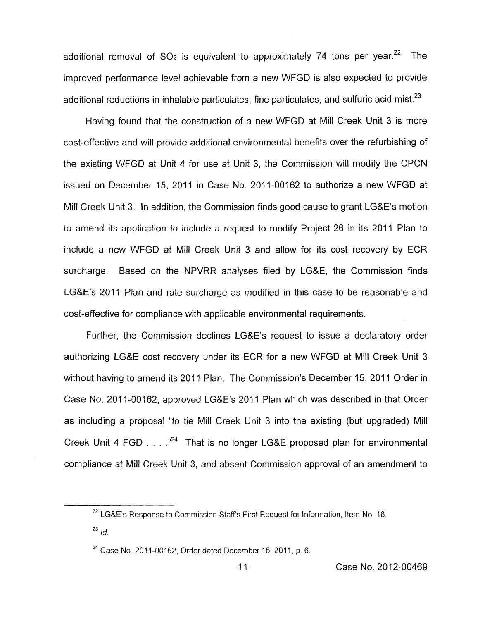additional removal of  $SO<sub>2</sub>$  is equivalent to approximately 74 tons per year.<sup>22</sup> The improved performance level achievable from a new WFGD is also expected to provide additional reductions in inhalable particulates, fine particulates, and sulfuric acid mist. $^{23}$ 

Having found that the construction of a new WFGD at Mill Creek Unit 3 is more cost-effective and will provide additional environmental benefits over the refurbishing of the existing WFGD at Unit 4 for use at Unit 3, the Commission will modify the CPCN issued on December 15, 2011 in Case **No.** 2011-00162 to authorize a new WFGD at Mill Creek Unit 3. In addition, the Commission finds good cause to grant LG&E's motion to amend its application to include a request to modify Project 26 in its 2011 Plan to include a new WFGD at Mill Creek Unit 3 and allow for its cost recovery by ECR surcharge. Based on the NPVRR analyses filed by LG&E, the Commission finds LG&E's 2011 Plan and rate surcharge as modified in this case to be reasonable and cost-effective for compliance with applicable environmental requirements.

Further, the Commission declines LG&E's request to issue a declaratory order authorizing LG&E cost recovery under its ECR for a new WFGD at Mill Creek Unit 3 without having to amend its 2011 Plan. The Commission's December 15, 2011 Order in Case No. 2011-00162, approved LG&E's 2011 Plan which was described in that Order as including a proposal "to tie Mill Creek Unit 3 into the existing (but upgraded) Mill Creek Unit 4 FGD  $\ldots$   $^{24}$  That is no longer LG&E proposed plan for environmental compliance at Mill Creek Unit 3, and absent Commission approval of an amendment to

<sup>&</sup>lt;sup>22</sup> LG&E's Response to Commission Staff's First Request for Information, Item No. 16.

 $^{23}$  *Id.* 

<sup>&</sup>lt;sup>24</sup> Case No. 2011-00162, Order dated December 15, 2011, p. 6.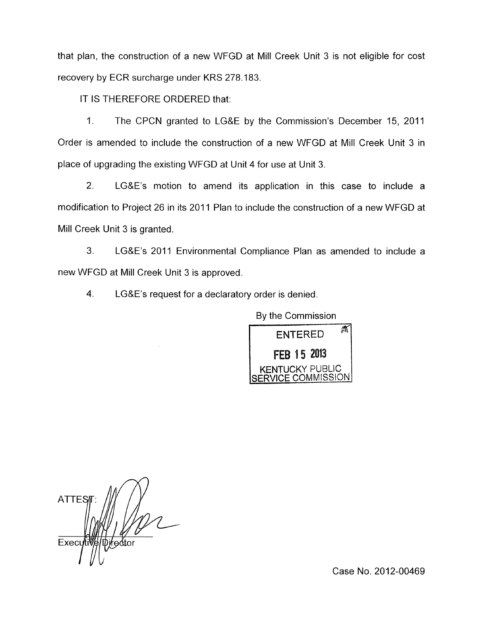that plan, the construction of a new WFGD at Mill Creek Unit 3 is not eligible for cost recovery by ECR surcharge under KRS 278.183.

IT IS THEREFORE ORDERED that:

1. The CPCN granted to LG&E by the Commission's December 15, 2011 Order is amended to include the construction of a new WFGD at Mill Creek Unit 3 in place of upgrading the existing WFGD at Unit **4** for use at Unit 3.

2. LG&E's motion to amend its application in this case to include a modification to Project 26 in its 2011 Plan to include the construction of a new WFGD at Mill Creek Unit 3 is granted.

**3.** LG&E's 2011 Environmental Compliance Plan as amended to include a new WFGD at Mill Creek Unit 3 is approved.

4. LG&E's request for a declaratory order is denied.

By the Commission **ENTERED 2813**  KENTUCKY PUBLIC ERVICE COMMISSIONI

**ATTES** Execu

Case No. 2012-00469